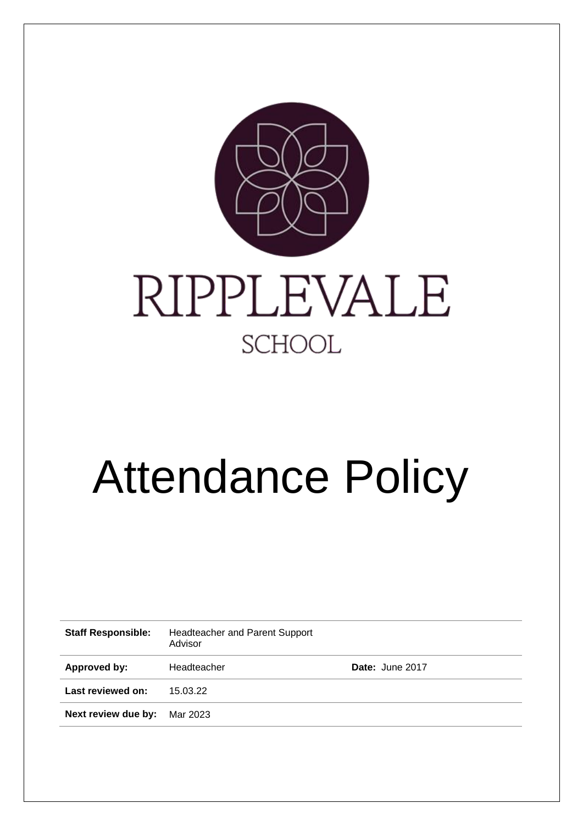

# Attendance Policy

| <b>Staff Responsible:</b> | <b>Headteacher and Parent Support</b><br>Advisor |                 |
|---------------------------|--------------------------------------------------|-----------------|
| Approved by:              | Headteacher                                      | Date: June 2017 |
| Last reviewed on:         | 15.03.22                                         |                 |
| Next review due by:       | Mar 2023                                         |                 |
|                           |                                                  |                 |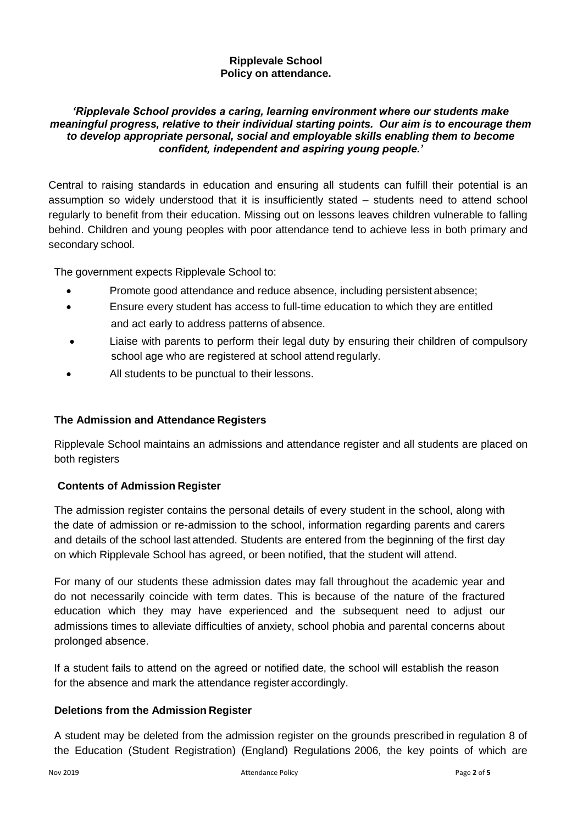## **Ripplevale School Policy on attendance.**

## *'Ripplevale School provides a caring, learning environment where our students make meaningful progress, relative to their individual starting points. Our aim is to encourage them to develop appropriate personal, social and employable skills enabling them to become confident, independent and aspiring young people.'*

Central to raising standards in education and ensuring all students can fulfill their potential is an assumption so widely understood that it is insufficiently stated – students need to attend school regularly to benefit from their education. Missing out on lessons leaves children vulnerable to falling behind. Children and young peoples with poor attendance tend to achieve less in both primary and secondary school.

The government expects Ripplevale School to:

- Promote good attendance and reduce absence, including persistent absence;
- Ensure every student has access to full-time education to which they are entitled and act early to address patterns of absence.
- Liaise with parents to perform their legal duty by ensuring their children of compulsory school age who are registered at school attend regularly.
- All students to be punctual to their lessons.

## **The Admission and Attendance Registers**

Ripplevale School maintains an admissions and attendance register and all students are placed on both registers

## **Contents of Admission Register**

The admission register contains the personal details of every student in the school, along with the date of admission or re-admission to the school, information regarding parents and carers and details of the school last attended. Students are entered from the beginning of the first day on which Ripplevale School has agreed, or been notified, that the student will attend.

For many of our students these admission dates may fall throughout the academic year and do not necessarily coincide with term dates. This is because of the nature of the fractured education which they may have experienced and the subsequent need to adjust our admissions times to alleviate difficulties of anxiety, school phobia and parental concerns about prolonged absence.

If a student fails to attend on the agreed or notified date, the school will establish the reason for the absence and mark the attendance register accordingly.

## **Deletions from the Admission Register**

A student may be deleted from the admission register on the grounds prescribed in regulation 8 of the Education (Student Registration) (England) Regulations 2006, the key points of which are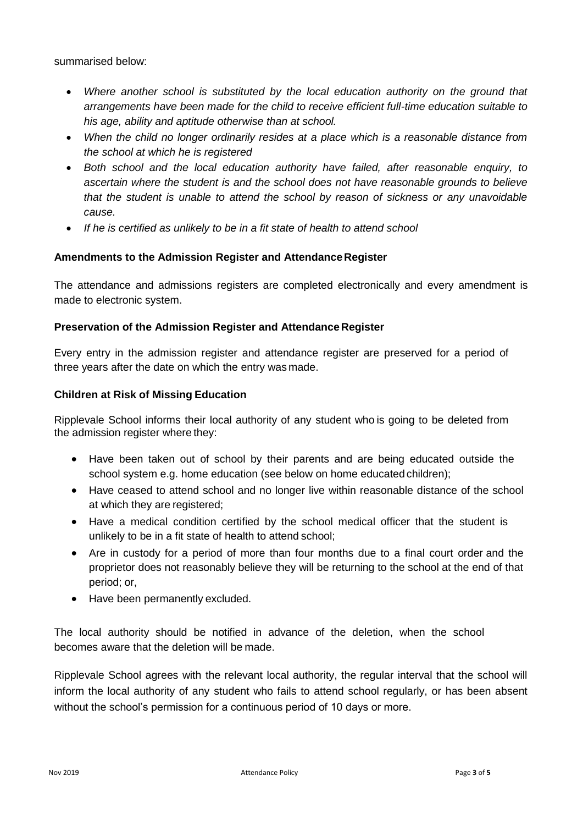summarised below:

- Where another school is substituted by the local education authority on the ground that *arrangements have been made for the child to receive efficient full-time education suitable to his age, ability and aptitude otherwise than at school.*
- *When the child no longer ordinarily resides at a place which is a reasonable distance from the school at which he is registered*
- *Both school and the local education authority have failed, after reasonable enquiry, to ascertain where the student is and the school does not have reasonable grounds to believe that the student is unable to attend the school by reason of sickness or any unavoidable cause.*
- *If he is certified as unlikely to be in a fit state of health to attend school*

# **Amendments to the Admission Register and AttendanceRegister**

The attendance and admissions registers are completed electronically and every amendment is made to electronic system.

## **Preservation of the Admission Register and Attendance Register**

Every entry in the admission register and attendance register are preserved for a period of three years after the date on which the entry was made.

## **Children at Risk of Missing Education**

Ripplevale School informs their local authority of any student who is going to be deleted from the admission register where they:

- Have been taken out of school by their parents and are being educated outside the school system e.g. home education (see below on home educated children);
- Have ceased to attend school and no longer live within reasonable distance of the school at which they are registered;
- Have a medical condition certified by the school medical officer that the student is unlikely to be in a fit state of health to attend school;
- Are in custody for a period of more than four months due to a final court order and the proprietor does not reasonably believe they will be returning to the school at the end of that period; or,
- Have been permanently excluded.

The local authority should be notified in advance of the deletion, when the school becomes aware that the deletion will be made.

Ripplevale School agrees with the relevant local authority, the regular interval that the school will inform the local authority of any student who fails to attend school regularly, or has been absent without the school's permission for a continuous period of 10 days or more.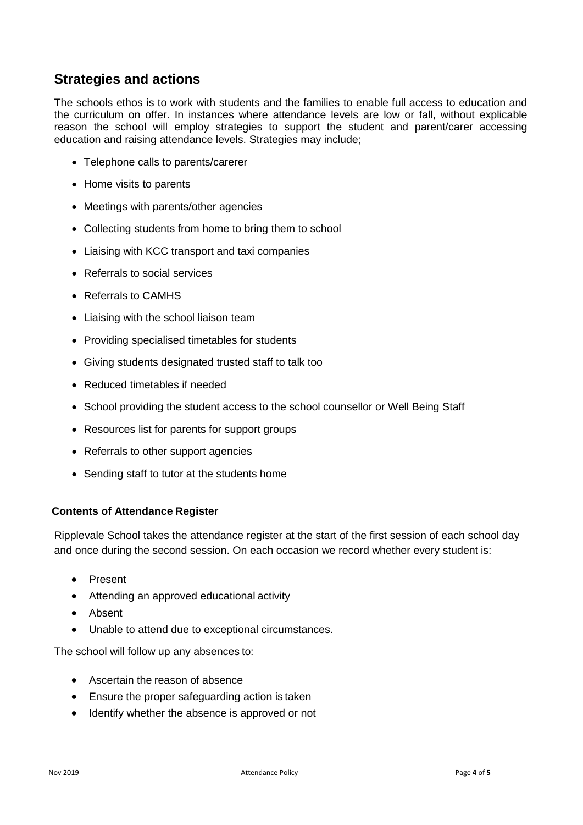# **Strategies and actions**

The schools ethos is to work with students and the families to enable full access to education and the curriculum on offer. In instances where attendance levels are low or fall, without explicable reason the school will employ strategies to support the student and parent/carer accessing education and raising attendance levels. Strategies may include;

- Telephone calls to parents/carerer
- Home visits to parents
- Meetings with parents/other agencies
- Collecting students from home to bring them to school
- Liaising with KCC transport and taxi companies
- Referrals to social services
- Referrals to CAMHS
- Liaising with the school liaison team
- Providing specialised timetables for students
- Giving students designated trusted staff to talk too
- Reduced timetables if needed
- School providing the student access to the school counsellor or Well Being Staff
- Resources list for parents for support groups
- Referrals to other support agencies
- Sending staff to tutor at the students home

## **Contents of Attendance Register**

Ripplevale School takes the attendance register at the start of the first session of each school day and once during the second session. On each occasion we record whether every student is:

- Present
- Attending an approved educational activity
- Absent
- Unable to attend due to exceptional circumstances.

The school will follow up any absences to:

- Ascertain the reason of absence
- Ensure the proper safeguarding action is taken
- Identify whether the absence is approved or not